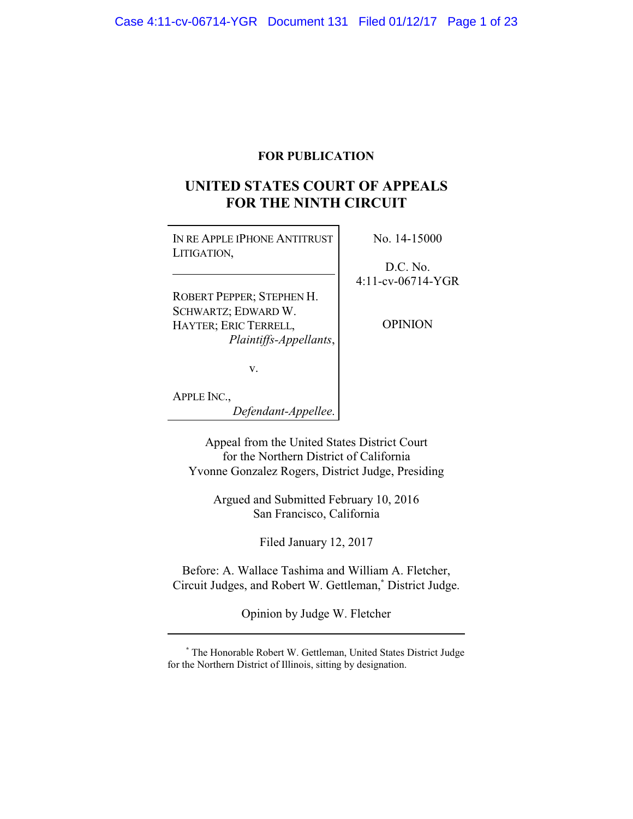# **FOR PUBLICATION**

# **UNITED STATES COURT OF APPEALS FOR THE NINTH CIRCUIT**

| IN RE APPLE IPHONE ANTITRUST<br>LITIGATION, | No. 14-15000         |
|---------------------------------------------|----------------------|
|                                             | D.C. No.             |
|                                             | $4:11$ -cv-06714-YGR |
| ROBERT PEPPER; STEPHEN H.                   |                      |
| SCHWARTZ; EDWARD W.                         |                      |
| HAYTER; ERIC TERRELL,                       | OPINION              |
| Plaintiffs-Appellants,                      |                      |
| V.                                          |                      |
| APPLE INC.,                                 |                      |

*Defendant-Appellee*.

Appeal from the United States District Court for the Northern District of California Yvonne Gonzalez Rogers, District Judge, Presiding

Argued and Submitted February 10, 2016 San Francisco, California

Filed January 12, 2017

Before: A. Wallace Tashima and William A. Fletcher, Circuit Judges, and Robert W. Gettleman,**\*** District Judge.

Opinion by Judge W. Fletcher

**<sup>\*</sup>** The Honorable Robert W. Gettleman, United States District Judge for the Northern District of Illinois, sitting by designation.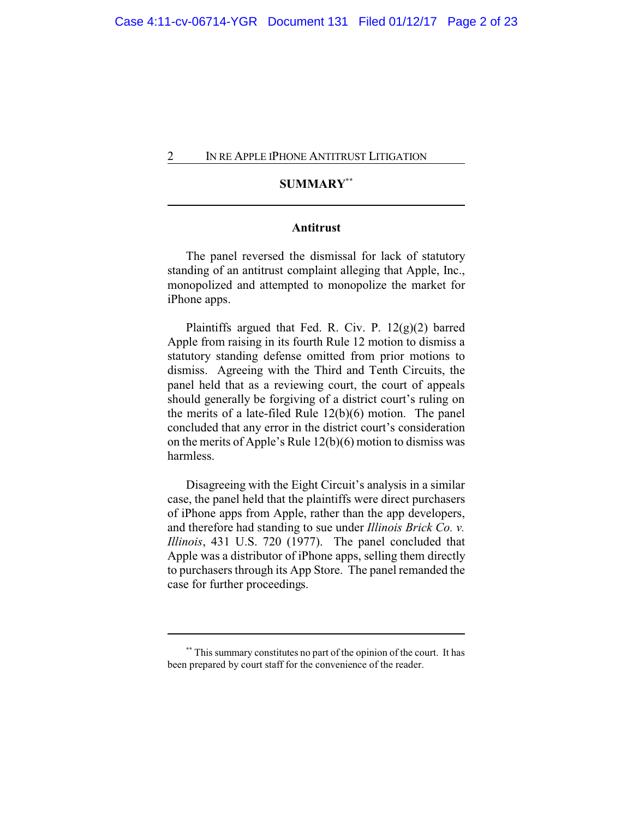# **SUMMARY\*\***

# **Antitrust**

The panel reversed the dismissal for lack of statutory standing of an antitrust complaint alleging that Apple, Inc., monopolized and attempted to monopolize the market for iPhone apps.

Plaintiffs argued that Fed. R. Civ. P. 12(g)(2) barred Apple from raising in its fourth Rule 12 motion to dismiss a statutory standing defense omitted from prior motions to dismiss. Agreeing with the Third and Tenth Circuits, the panel held that as a reviewing court, the court of appeals should generally be forgiving of a district court's ruling on the merits of a late-filed Rule 12(b)(6) motion. The panel concluded that any error in the district court's consideration on the merits of Apple's Rule 12(b)(6) motion to dismiss was harmless.

Disagreeing with the Eight Circuit's analysis in a similar case, the panel held that the plaintiffs were direct purchasers of iPhone apps from Apple, rather than the app developers, and therefore had standing to sue under *Illinois Brick Co. v. Illinois*, 431 U.S. 720 (1977). The panel concluded that Apple was a distributor of iPhone apps, selling them directly to purchasers through its App Store. The panel remanded the case for further proceedings.

**<sup>\*\*</sup>** This summary constitutes no part of the opinion of the court. It has been prepared by court staff for the convenience of the reader.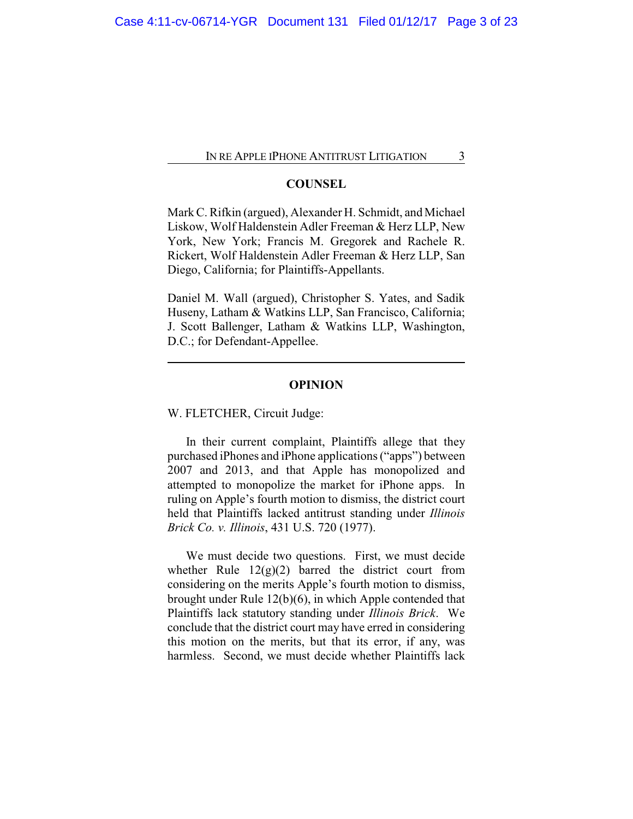### **COUNSEL**

Mark C. Rifkin (argued), Alexander H. Schmidt, and Michael Liskow, Wolf Haldenstein Adler Freeman & Herz LLP, New York, New York; Francis M. Gregorek and Rachele R. Rickert, Wolf Haldenstein Adler Freeman & Herz LLP, San Diego, California; for Plaintiffs-Appellants.

Daniel M. Wall (argued), Christopher S. Yates, and Sadik Huseny, Latham & Watkins LLP, San Francisco, California; J. Scott Ballenger, Latham & Watkins LLP, Washington, D.C.; for Defendant-Appellee.

#### **OPINION**

W. FLETCHER, Circuit Judge:

In their current complaint, Plaintiffs allege that they purchased iPhones and iPhone applications ("apps") between 2007 and 2013, and that Apple has monopolized and attempted to monopolize the market for iPhone apps. In ruling on Apple's fourth motion to dismiss, the district court held that Plaintiffs lacked antitrust standing under *Illinois Brick Co. v. Illinois*, 431 U.S. 720 (1977).

We must decide two questions. First, we must decide whether Rule  $12(g)(2)$  barred the district court from considering on the merits Apple's fourth motion to dismiss, brought under Rule 12(b)(6), in which Apple contended that Plaintiffs lack statutory standing under *Illinois Brick*. We conclude that the district court may have erred in considering this motion on the merits, but that its error, if any, was harmless. Second, we must decide whether Plaintiffs lack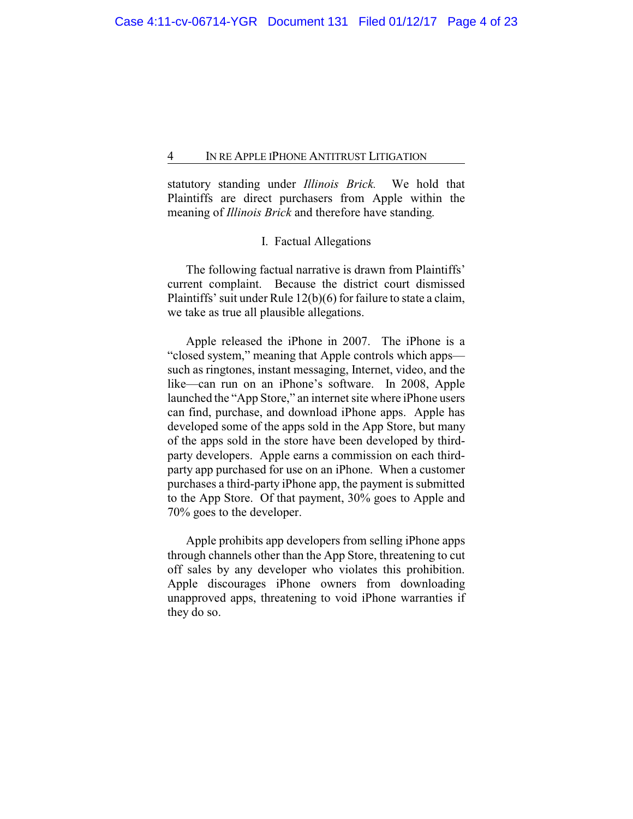statutory standing under *Illinois Brick.* We hold that Plaintiffs are direct purchasers from Apple within the meaning of *Illinois Brick* and therefore have standing.

### I. Factual Allegations

The following factual narrative is drawn from Plaintiffs' current complaint. Because the district court dismissed Plaintiffs' suit under Rule 12(b)(6) for failure to state a claim, we take as true all plausible allegations.

Apple released the iPhone in 2007. The iPhone is a "closed system," meaning that Apple controls which apps such as ringtones, instant messaging, Internet, video, and the like—can run on an iPhone's software. In 2008, Apple launched the "App Store," an internet site where iPhone users can find, purchase, and download iPhone apps. Apple has developed some of the apps sold in the App Store, but many of the apps sold in the store have been developed by thirdparty developers. Apple earns a commission on each thirdparty app purchased for use on an iPhone. When a customer purchases a third-party iPhone app, the payment is submitted to the App Store. Of that payment, 30% goes to Apple and 70% goes to the developer.

Apple prohibits app developers from selling iPhone apps through channels other than the App Store, threatening to cut off sales by any developer who violates this prohibition. Apple discourages iPhone owners from downloading unapproved apps, threatening to void iPhone warranties if they do so.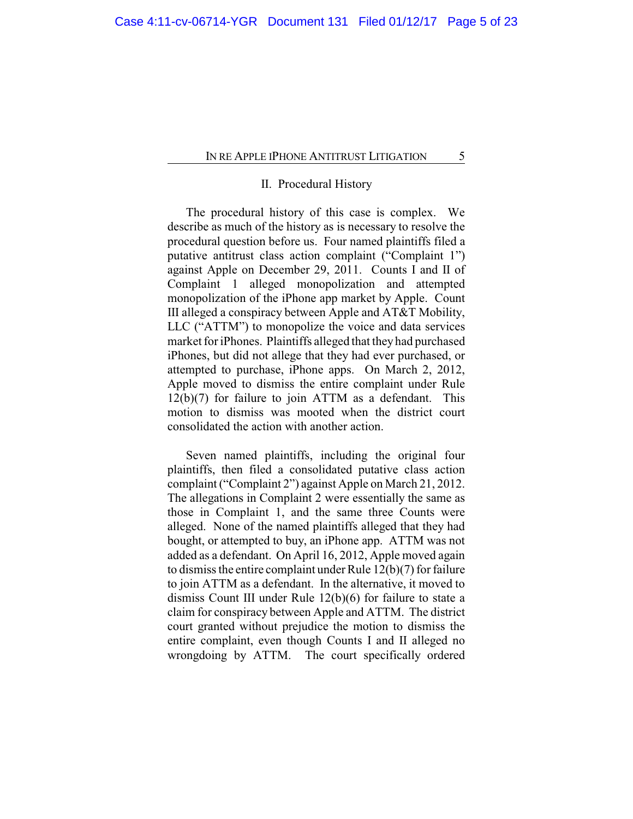# II. Procedural History

The procedural history of this case is complex. We describe as much of the history as is necessary to resolve the procedural question before us. Four named plaintiffs filed a putative antitrust class action complaint ("Complaint 1") against Apple on December 29, 2011. Counts I and II of Complaint 1 alleged monopolization and attempted monopolization of the iPhone app market by Apple. Count III alleged a conspiracy between Apple and AT&T Mobility, LLC ("ATTM") to monopolize the voice and data services market for iPhones. Plaintiffs alleged that they had purchased iPhones, but did not allege that they had ever purchased, or attempted to purchase, iPhone apps. On March 2, 2012, Apple moved to dismiss the entire complaint under Rule 12(b)(7) for failure to join ATTM as a defendant. This motion to dismiss was mooted when the district court consolidated the action with another action.

Seven named plaintiffs, including the original four plaintiffs, then filed a consolidated putative class action complaint ("Complaint 2") against Apple on March 21, 2012. The allegations in Complaint 2 were essentially the same as those in Complaint 1, and the same three Counts were alleged. None of the named plaintiffs alleged that they had bought, or attempted to buy, an iPhone app. ATTM was not added as a defendant. On April 16, 2012, Apple moved again to dismiss the entire complaint under Rule 12(b)(7) for failure to join ATTM as a defendant. In the alternative, it moved to dismiss Count III under Rule 12(b)(6) for failure to state a claim for conspiracy between Apple and ATTM. The district court granted without prejudice the motion to dismiss the entire complaint, even though Counts I and II alleged no wrongdoing by ATTM. The court specifically ordered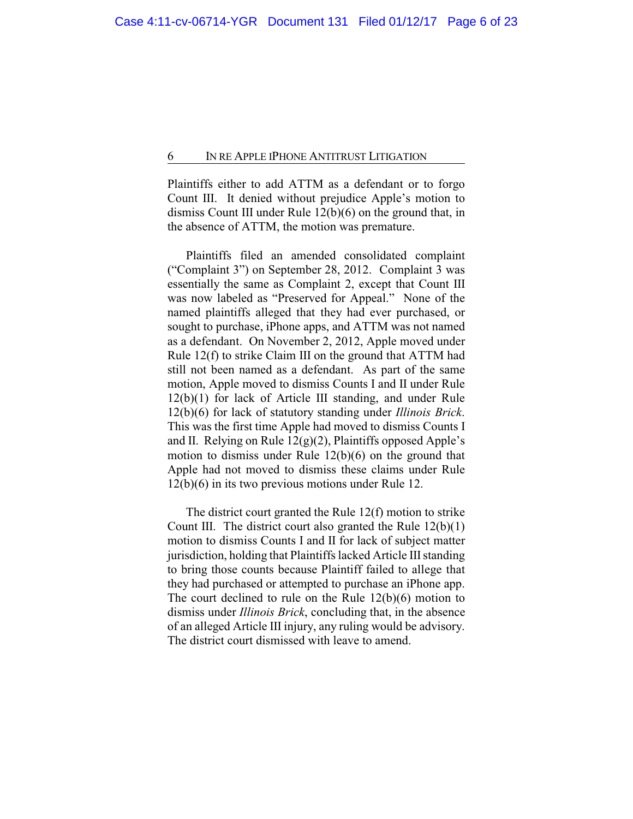Plaintiffs either to add ATTM as a defendant or to forgo Count III. It denied without prejudice Apple's motion to dismiss Count III under Rule 12(b)(6) on the ground that, in the absence of ATTM, the motion was premature.

Plaintiffs filed an amended consolidated complaint ("Complaint 3") on September 28, 2012. Complaint 3 was essentially the same as Complaint 2, except that Count III was now labeled as "Preserved for Appeal." None of the named plaintiffs alleged that they had ever purchased, or sought to purchase, iPhone apps, and ATTM was not named as a defendant. On November 2, 2012, Apple moved under Rule 12(f) to strike Claim III on the ground that ATTM had still not been named as a defendant. As part of the same motion, Apple moved to dismiss Counts I and II under Rule 12(b)(1) for lack of Article III standing, and under Rule 12(b)(6) for lack of statutory standing under *Illinois Brick*. This was the first time Apple had moved to dismiss Counts I and II. Relying on Rule  $12(g)(2)$ , Plaintiffs opposed Apple's motion to dismiss under Rule 12(b)(6) on the ground that Apple had not moved to dismiss these claims under Rule 12(b)(6) in its two previous motions under Rule 12.

The district court granted the Rule 12(f) motion to strike Count III. The district court also granted the Rule 12(b)(1) motion to dismiss Counts I and II for lack of subject matter jurisdiction, holding that Plaintiffs lacked Article III standing to bring those counts because Plaintiff failed to allege that they had purchased or attempted to purchase an iPhone app. The court declined to rule on the Rule 12(b)(6) motion to dismiss under *Illinois Brick*, concluding that, in the absence of an alleged Article III injury, any ruling would be advisory. The district court dismissed with leave to amend.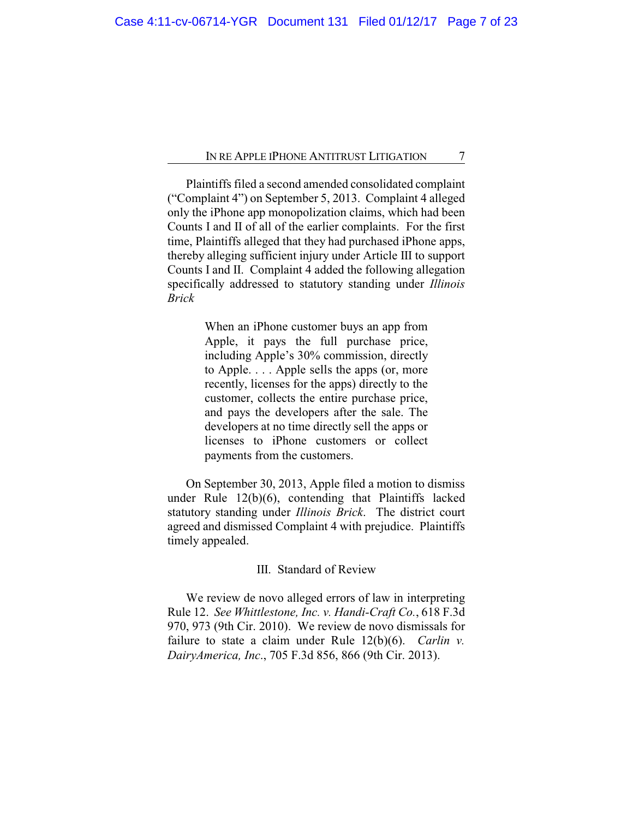Plaintiffs filed a second amended consolidated complaint ("Complaint 4") on September 5, 2013. Complaint 4 alleged only the iPhone app monopolization claims, which had been Counts I and II of all of the earlier complaints. For the first time, Plaintiffs alleged that they had purchased iPhone apps, thereby alleging sufficient injury under Article III to support Counts I and II. Complaint 4 added the following allegation specifically addressed to statutory standing under *Illinois Brick*

> When an iPhone customer buys an app from Apple, it pays the full purchase price, including Apple's 30% commission, directly to Apple. . . . Apple sells the apps (or, more recently, licenses for the apps) directly to the customer, collects the entire purchase price, and pays the developers after the sale. The developers at no time directly sell the apps or licenses to iPhone customers or collect payments from the customers.

On September 30, 2013, Apple filed a motion to dismiss under Rule 12(b)(6), contending that Plaintiffs lacked statutory standing under *Illinois Brick*. The district court agreed and dismissed Complaint 4 with prejudice. Plaintiffs timely appealed.

### III. Standard of Review

We review de novo alleged errors of law in interpreting Rule 12. *See Whittlestone, Inc. v. Handi-Craft Co.*, 618 F.3d 970, 973 (9th Cir. 2010). We review de novo dismissals for failure to state a claim under Rule 12(b)(6). *Carlin v. DairyAmerica, Inc*., 705 F.3d 856, 866 (9th Cir. 2013).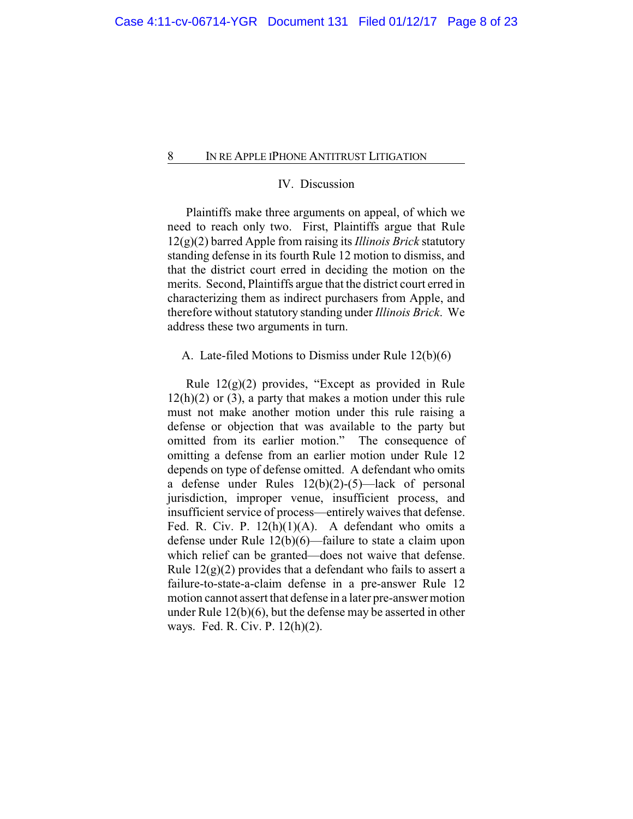# IV. Discussion

Plaintiffs make three arguments on appeal, of which we need to reach only two. First, Plaintiffs argue that Rule 12(g)(2) barred Apple from raising its *Illinois Brick* statutory standing defense in its fourth Rule 12 motion to dismiss, and that the district court erred in deciding the motion on the merits. Second, Plaintiffs argue that the district court erred in characterizing them as indirect purchasers from Apple, and therefore without statutory standing under *Illinois Brick*. We address these two arguments in turn.

A. Late-filed Motions to Dismiss under Rule 12(b)(6)

Rule 12(g)(2) provides, "Except as provided in Rule  $12(h)(2)$  or  $(3)$ , a party that makes a motion under this rule must not make another motion under this rule raising a defense or objection that was available to the party but omitted from its earlier motion." The consequence of omitting a defense from an earlier motion under Rule 12 depends on type of defense omitted. A defendant who omits a defense under Rules 12(b)(2)-(5)—lack of personal jurisdiction, improper venue, insufficient process, and insufficient service of process—entirely waives that defense. Fed. R. Civ. P. 12(h)(1)(A). A defendant who omits a defense under Rule 12(b)(6)—failure to state a claim upon which relief can be granted—does not waive that defense. Rule  $12(g)(2)$  provides that a defendant who fails to assert a failure-to-state-a-claim defense in a pre-answer Rule 12 motion cannot assert that defense in a later pre-answer motion under Rule 12(b)(6), but the defense may be asserted in other ways. Fed. R. Civ. P. 12(h)(2).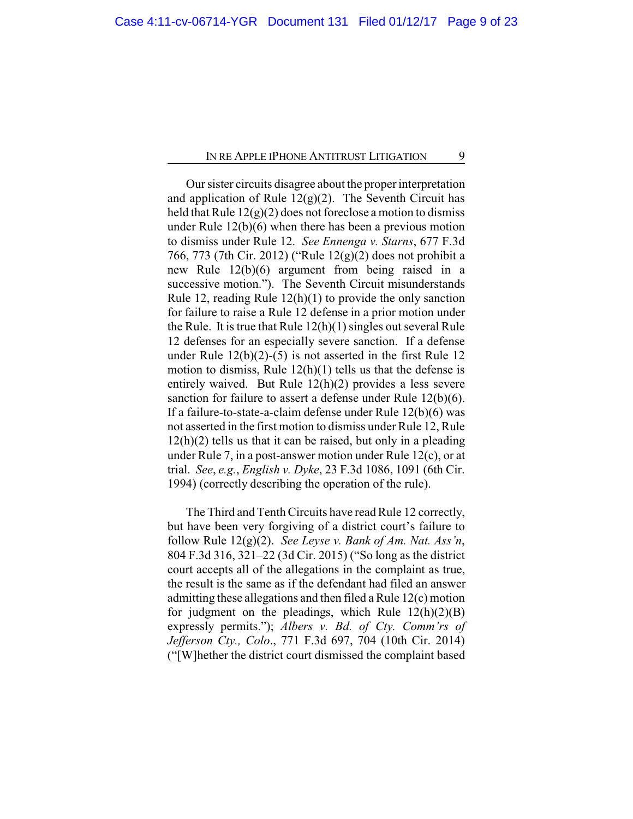Our sister circuits disagree about the proper interpretation and application of Rule  $12(g)(2)$ . The Seventh Circuit has held that Rule  $12(g)(2)$  does not foreclose a motion to dismiss under Rule 12(b)(6) when there has been a previous motion to dismiss under Rule 12. *See Ennenga v. Starns*, 677 F.3d 766, 773 (7th Cir. 2012) ("Rule 12(g)(2) does not prohibit a new Rule 12(b)(6) argument from being raised in a successive motion."). The Seventh Circuit misunderstands Rule 12, reading Rule 12(h)(1) to provide the only sanction for failure to raise a Rule 12 defense in a prior motion under the Rule. It is true that Rule 12(h)(1) singles out several Rule 12 defenses for an especially severe sanction. If a defense under Rule  $12(b)(2)-(5)$  is not asserted in the first Rule 12 motion to dismiss, Rule 12(h)(1) tells us that the defense is entirely waived. But Rule 12(h)(2) provides a less severe sanction for failure to assert a defense under Rule 12(b)(6). If a failure-to-state-a-claim defense under Rule 12(b)(6) was not asserted in the first motion to dismiss under Rule 12, Rule  $12(h)(2)$  tells us that it can be raised, but only in a pleading under Rule 7, in a post-answer motion under Rule 12(c), or at trial. *See*, *e.g.*, *English v. Dyke*, 23 F.3d 1086, 1091 (6th Cir. 1994) (correctly describing the operation of the rule).

The Third and Tenth Circuits have read Rule 12 correctly, but have been very forgiving of a district court's failure to follow Rule 12(g)(2). *See Leyse v. Bank of Am. Nat. Ass'n*, 804 F.3d 316, 321–22 (3d Cir. 2015) ("So long as the district court accepts all of the allegations in the complaint as true, the result is the same as if the defendant had filed an answer admitting these allegations and then filed a Rule 12(c) motion for judgment on the pleadings, which Rule  $12(h)(2)(B)$ expressly permits."); *Albers v. Bd. of Cty. Comm'rs of Jefferson Cty., Colo*., 771 F.3d 697, 704 (10th Cir. 2014) ("[W]hether the district court dismissed the complaint based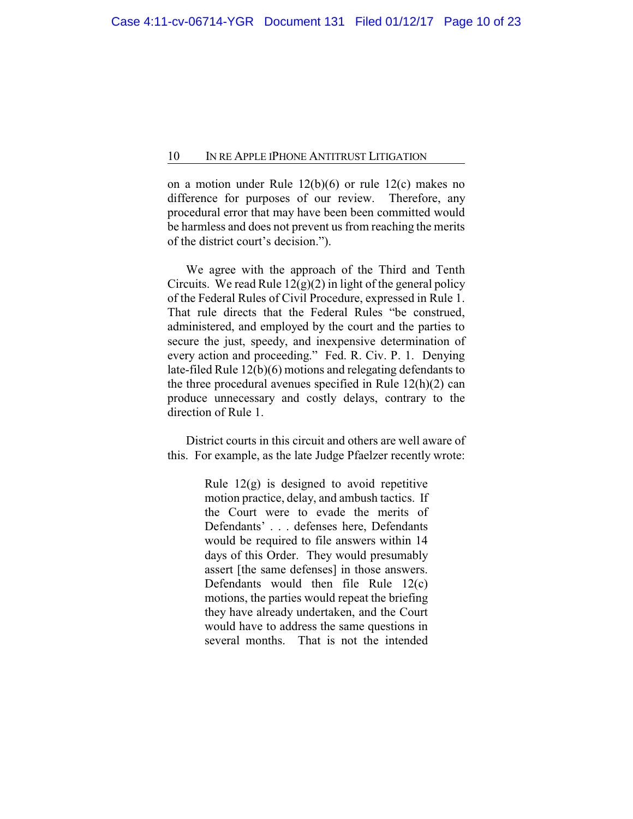on a motion under Rule 12(b)(6) or rule 12(c) makes no difference for purposes of our review. Therefore, any procedural error that may have been been committed would be harmless and does not prevent us from reaching the merits of the district court's decision.").

We agree with the approach of the Third and Tenth Circuits. We read Rule  $12(g)(2)$  in light of the general policy of the Federal Rules of Civil Procedure, expressed in Rule 1. That rule directs that the Federal Rules "be construed, administered, and employed by the court and the parties to secure the just, speedy, and inexpensive determination of every action and proceeding." Fed. R. Civ. P. 1. Denying late-filed Rule 12(b)(6) motions and relegating defendants to the three procedural avenues specified in Rule 12(h)(2) can produce unnecessary and costly delays, contrary to the direction of Rule 1.

District courts in this circuit and others are well aware of this. For example, as the late Judge Pfaelzer recently wrote:

> Rule  $12(g)$  is designed to avoid repetitive motion practice, delay, and ambush tactics. If the Court were to evade the merits of Defendants' . . . defenses here, Defendants would be required to file answers within 14 days of this Order. They would presumably assert [the same defenses] in those answers. Defendants would then file Rule 12(c) motions, the parties would repeat the briefing they have already undertaken, and the Court would have to address the same questions in several months. That is not the intended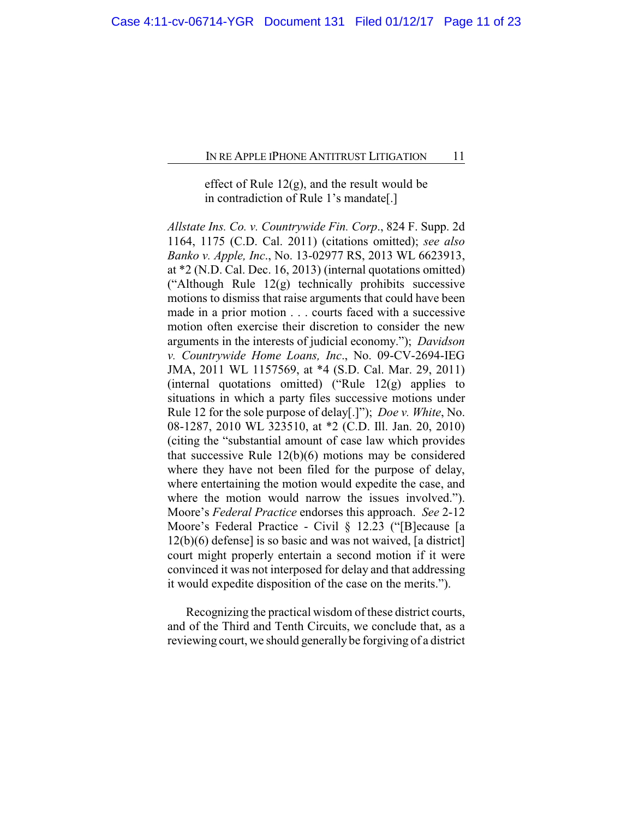# effect of Rule 12(g), and the result would be in contradiction of Rule 1's mandate[.]

*Allstate Ins. Co. v. Countrywide Fin. Corp*., 824 F. Supp. 2d 1164, 1175 (C.D. Cal. 2011) (citations omitted); *see also Banko v. Apple, Inc*., No. 13-02977 RS, 2013 WL 6623913, at \*2 (N.D. Cal. Dec. 16, 2013) (internal quotations omitted) ("Although Rule 12(g) technically prohibits successive motions to dismiss that raise arguments that could have been made in a prior motion . . . courts faced with a successive motion often exercise their discretion to consider the new arguments in the interests of judicial economy."); *Davidson v. Countrywide Home Loans, Inc*., No. 09-CV-2694-IEG JMA, 2011 WL 1157569, at \*4 (S.D. Cal. Mar. 29, 2011) (internal quotations omitted) ("Rule  $12(g)$  applies to situations in which a party files successive motions under Rule 12 for the sole purpose of delay[.]"); *Doe v. White*, No. 08-1287, 2010 WL 323510, at \*2 (C.D. Ill. Jan. 20, 2010) (citing the "substantial amount of case law which provides that successive Rule 12(b)(6) motions may be considered where they have not been filed for the purpose of delay, where entertaining the motion would expedite the case, and where the motion would narrow the issues involved.". Moore's *Federal Practice* endorses this approach. *See* 2-12 Moore's Federal Practice - Civil § 12.23 ("[B]ecause [a 12(b)(6) defense] is so basic and was not waived, [a district] court might properly entertain a second motion if it were convinced it was not interposed for delay and that addressing it would expedite disposition of the case on the merits.").

Recognizing the practical wisdom of these district courts, and of the Third and Tenth Circuits, we conclude that, as a reviewing court, we should generally be forgiving of a district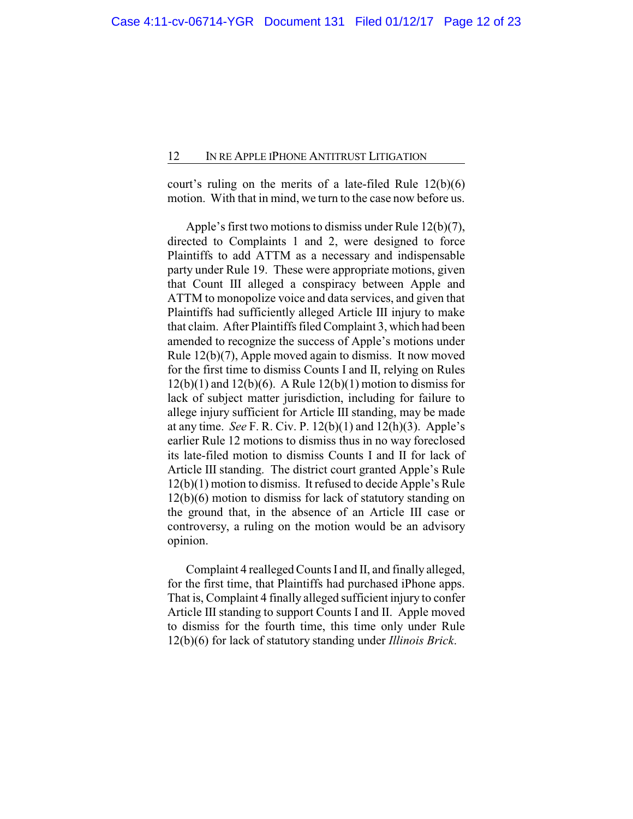court's ruling on the merits of a late-filed Rule 12(b)(6) motion. With that in mind, we turn to the case now before us.

Apple's first two motions to dismiss under Rule 12(b)(7), directed to Complaints 1 and 2, were designed to force Plaintiffs to add ATTM as a necessary and indispensable party under Rule 19. These were appropriate motions, given that Count III alleged a conspiracy between Apple and ATTM to monopolize voice and data services, and given that Plaintiffs had sufficiently alleged Article III injury to make that claim. After Plaintiffs filed Complaint 3, which had been amended to recognize the success of Apple's motions under Rule 12(b)(7), Apple moved again to dismiss. It now moved for the first time to dismiss Counts I and II, relying on Rules  $12(b)(1)$  and  $12(b)(6)$ . A Rule  $12(b)(1)$  motion to dismiss for lack of subject matter jurisdiction, including for failure to allege injury sufficient for Article III standing, may be made at any time. *See* F. R. Civ. P. 12(b)(1) and 12(h)(3). Apple's earlier Rule 12 motions to dismiss thus in no way foreclosed its late-filed motion to dismiss Counts I and II for lack of Article III standing. The district court granted Apple's Rule 12(b)(1) motion to dismiss. It refused to decide Apple's Rule 12(b)(6) motion to dismiss for lack of statutory standing on the ground that, in the absence of an Article III case or controversy, a ruling on the motion would be an advisory opinion.

Complaint 4 realleged Counts I and II, and finally alleged, for the first time, that Plaintiffs had purchased iPhone apps. That is, Complaint 4 finally alleged sufficient injury to confer Article III standing to support Counts I and II. Apple moved to dismiss for the fourth time, this time only under Rule 12(b)(6) for lack of statutory standing under *Illinois Brick*.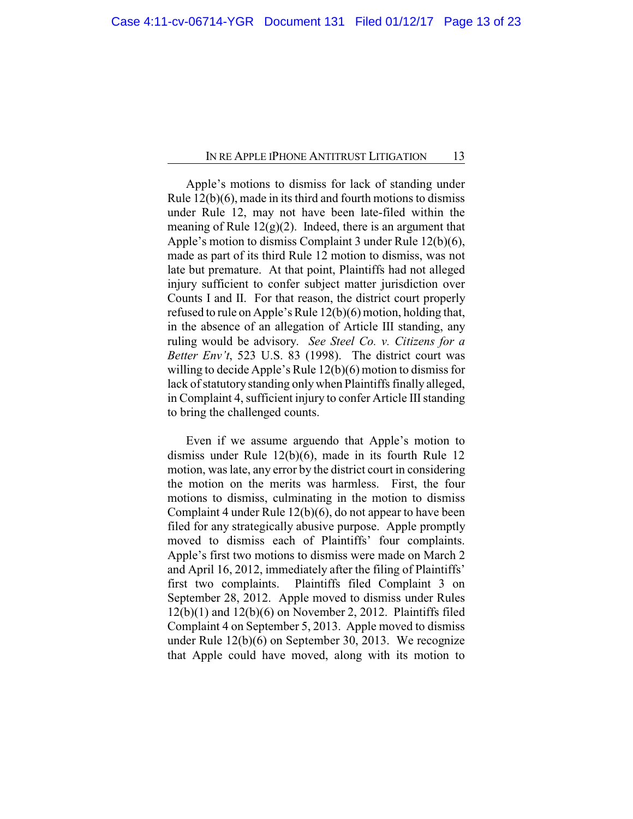Apple's motions to dismiss for lack of standing under Rule 12(b)(6), made in its third and fourth motions to dismiss under Rule 12, may not have been late-filed within the meaning of Rule  $12(g)(2)$ . Indeed, there is an argument that Apple's motion to dismiss Complaint 3 under Rule 12(b)(6), made as part of its third Rule 12 motion to dismiss, was not late but premature. At that point, Plaintiffs had not alleged injury sufficient to confer subject matter jurisdiction over Counts I and II. For that reason, the district court properly refused to rule on Apple's Rule 12(b)(6) motion, holding that, in the absence of an allegation of Article III standing, any ruling would be advisory. *See Steel Co. v. Citizens for a Better Env't*, 523 U.S. 83 (1998). The district court was willing to decide Apple's Rule 12(b)(6) motion to dismiss for lack of statutory standing onlywhen Plaintiffs finally alleged, in Complaint 4, sufficient injury to confer Article III standing to bring the challenged counts.

Even if we assume arguendo that Apple's motion to dismiss under Rule 12(b)(6), made in its fourth Rule 12 motion, was late, any error by the district court in considering the motion on the merits was harmless. First, the four motions to dismiss, culminating in the motion to dismiss Complaint 4 under Rule 12(b)(6), do not appear to have been filed for any strategically abusive purpose. Apple promptly moved to dismiss each of Plaintiffs' four complaints. Apple's first two motions to dismiss were made on March 2 and April 16, 2012, immediately after the filing of Plaintiffs' first two complaints. Plaintiffs filed Complaint 3 on September 28, 2012. Apple moved to dismiss under Rules  $12(b)(1)$  and  $12(b)(6)$  on November 2, 2012. Plaintiffs filed Complaint 4 on September 5, 2013. Apple moved to dismiss under Rule 12(b)(6) on September 30, 2013. We recognize that Apple could have moved, along with its motion to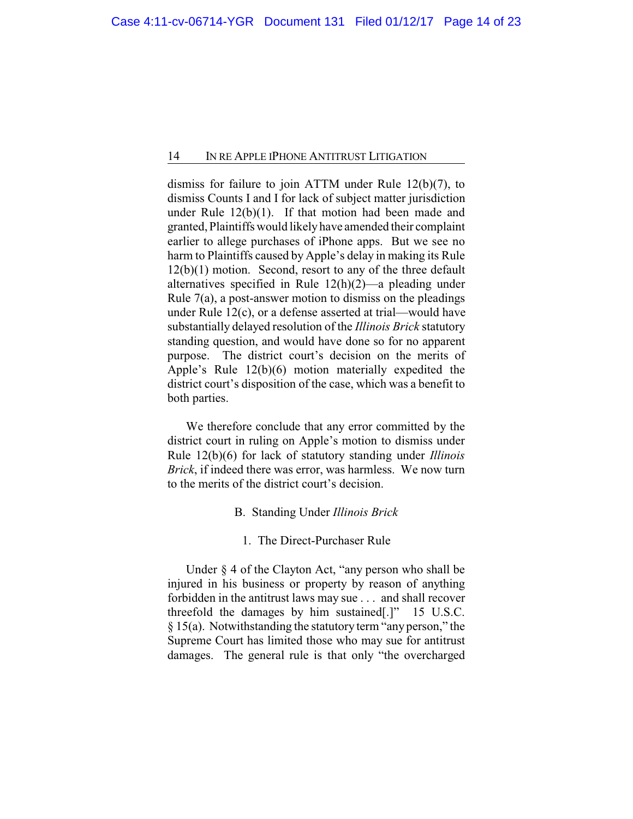dismiss for failure to join ATTM under Rule 12(b)(7), to dismiss Counts I and I for lack of subject matter jurisdiction under Rule  $12(b)(1)$ . If that motion had been made and granted, Plaintiffs would likelyhave amended their complaint earlier to allege purchases of iPhone apps. But we see no harm to Plaintiffs caused by Apple's delay in making its Rule 12(b)(1) motion. Second, resort to any of the three default alternatives specified in Rule 12(h)(2)—a pleading under Rule 7(a), a post-answer motion to dismiss on the pleadings under Rule 12(c), or a defense asserted at trial—would have substantially delayed resolution of the *Illinois Brick* statutory standing question, and would have done so for no apparent purpose. The district court's decision on the merits of Apple's Rule 12(b)(6) motion materially expedited the district court's disposition of the case, which was a benefit to both parties.

We therefore conclude that any error committed by the district court in ruling on Apple's motion to dismiss under Rule 12(b)(6) for lack of statutory standing under *Illinois Brick*, if indeed there was error, was harmless. We now turn to the merits of the district court's decision.

- B. Standing Under *Illinois Brick*
	- 1. The Direct-Purchaser Rule

Under § 4 of the Clayton Act, "any person who shall be injured in his business or property by reason of anything forbidden in the antitrust laws may sue . . . and shall recover threefold the damages by him sustained[.]" 15 U.S.C. § 15(a). Notwithstanding the statutory term "any person," the Supreme Court has limited those who may sue for antitrust damages. The general rule is that only "the overcharged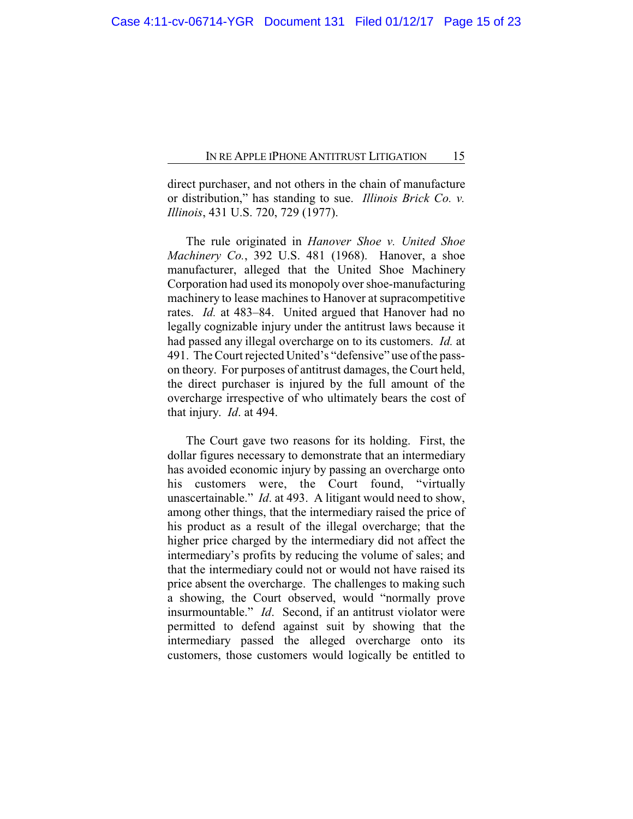direct purchaser, and not others in the chain of manufacture or distribution," has standing to sue. *Illinois Brick Co. v. Illinois*, 431 U.S. 720, 729 (1977).

The rule originated in *Hanover Shoe v. United Shoe Machinery Co.*, 392 U.S. 481 (1968). Hanover, a shoe manufacturer, alleged that the United Shoe Machinery Corporation had used its monopoly over shoe-manufacturing machinery to lease machines to Hanover at supracompetitive rates. *Id.* at 483–84. United argued that Hanover had no legally cognizable injury under the antitrust laws because it had passed any illegal overcharge on to its customers. *Id.* at 491. The Court rejected United's "defensive" use of the passon theory. For purposes of antitrust damages, the Court held, the direct purchaser is injured by the full amount of the overcharge irrespective of who ultimately bears the cost of that injury. *Id*. at 494.

The Court gave two reasons for its holding. First, the dollar figures necessary to demonstrate that an intermediary has avoided economic injury by passing an overcharge onto his customers were, the Court found, "virtually unascertainable." *Id*. at 493. A litigant would need to show, among other things, that the intermediary raised the price of his product as a result of the illegal overcharge; that the higher price charged by the intermediary did not affect the intermediary's profits by reducing the volume of sales; and that the intermediary could not or would not have raised its price absent the overcharge. The challenges to making such a showing, the Court observed, would "normally prove insurmountable." *Id*. Second, if an antitrust violator were permitted to defend against suit by showing that the intermediary passed the alleged overcharge onto its customers, those customers would logically be entitled to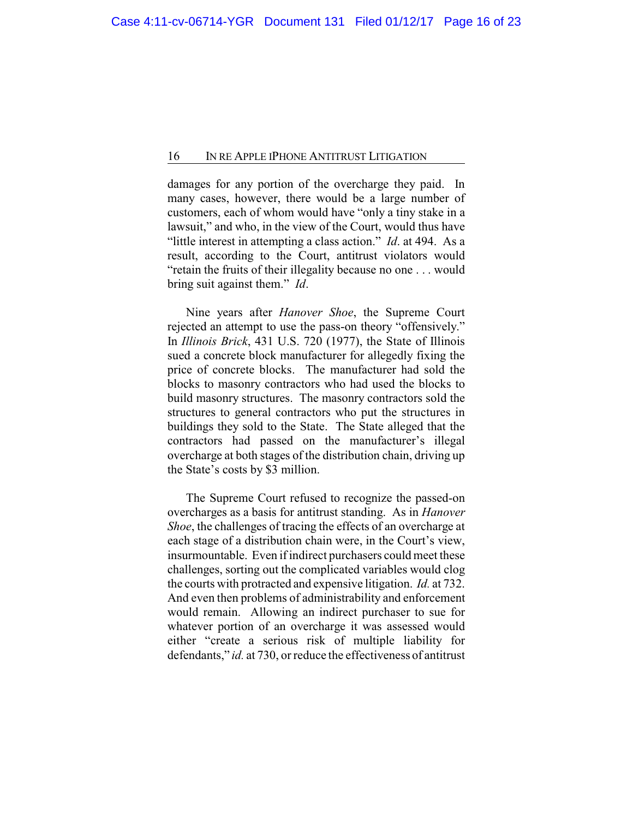damages for any portion of the overcharge they paid. In many cases, however, there would be a large number of customers, each of whom would have "only a tiny stake in a lawsuit," and who, in the view of the Court, would thus have "little interest in attempting a class action." *Id*. at 494. As a result, according to the Court, antitrust violators would "retain the fruits of their illegality because no one . . . would bring suit against them." *Id*.

Nine years after *Hanover Shoe*, the Supreme Court rejected an attempt to use the pass-on theory "offensively." In *Illinois Brick*, 431 U.S. 720 (1977), the State of Illinois sued a concrete block manufacturer for allegedly fixing the price of concrete blocks. The manufacturer had sold the blocks to masonry contractors who had used the blocks to build masonry structures. The masonry contractors sold the structures to general contractors who put the structures in buildings they sold to the State. The State alleged that the contractors had passed on the manufacturer's illegal overcharge at both stages of the distribution chain, driving up the State's costs by \$3 million.

The Supreme Court refused to recognize the passed-on overcharges as a basis for antitrust standing. As in *Hanover Shoe*, the challenges of tracing the effects of an overcharge at each stage of a distribution chain were, in the Court's view, insurmountable. Even if indirect purchasers could meet these challenges, sorting out the complicated variables would clog the courts with protracted and expensive litigation. *Id.* at 732. And even then problems of administrability and enforcement would remain. Allowing an indirect purchaser to sue for whatever portion of an overcharge it was assessed would either "create a serious risk of multiple liability for defendants," *id.* at 730, or reduce the effectiveness of antitrust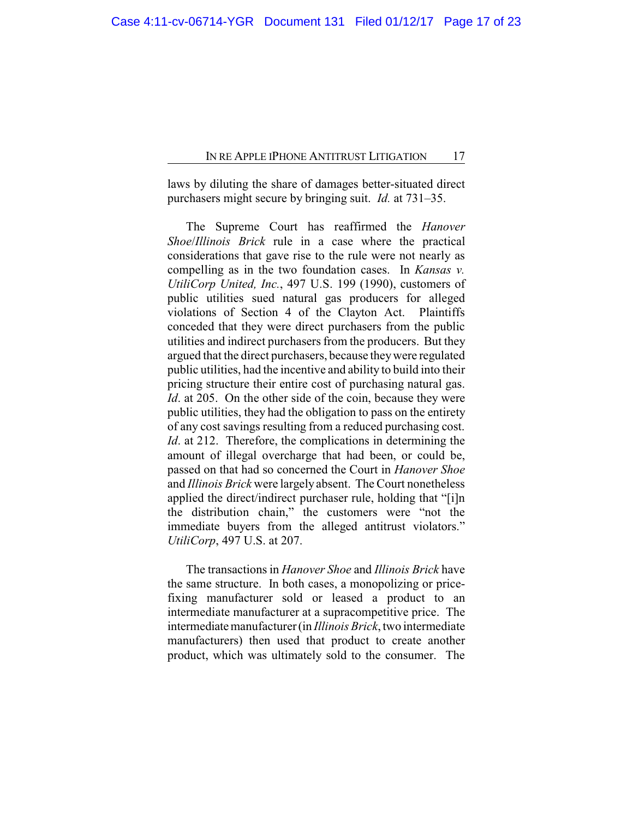laws by diluting the share of damages better-situated direct purchasers might secure by bringing suit. *Id.* at 731–35.

The Supreme Court has reaffirmed the *Hanover Shoe*/*Illinois Brick* rule in a case where the practical considerations that gave rise to the rule were not nearly as compelling as in the two foundation cases. In *Kansas v. UtiliCorp United, Inc.*, 497 U.S. 199 (1990), customers of public utilities sued natural gas producers for alleged violations of Section 4 of the Clayton Act. Plaintiffs conceded that they were direct purchasers from the public utilities and indirect purchasers from the producers. But they argued that the direct purchasers, because theywere regulated public utilities, had the incentive and ability to build into their pricing structure their entire cost of purchasing natural gas. *Id*. at 205. On the other side of the coin, because they were public utilities, they had the obligation to pass on the entirety of any cost savings resulting from a reduced purchasing cost. *Id.* at 212. Therefore, the complications in determining the amount of illegal overcharge that had been, or could be, passed on that had so concerned the Court in *Hanover Shoe* and *Illinois Brick* were largely absent. The Court nonetheless applied the direct/indirect purchaser rule, holding that "[i]n the distribution chain," the customers were "not the immediate buyers from the alleged antitrust violators." *UtiliCorp*, 497 U.S. at 207.

The transactions in *Hanover Shoe* and *Illinois Brick* have the same structure. In both cases, a monopolizing or pricefixing manufacturer sold or leased a product to an intermediate manufacturer at a supracompetitive price. The intermediate manufacturer (in *Illinois Brick*, two intermediate manufacturers) then used that product to create another product, which was ultimately sold to the consumer. The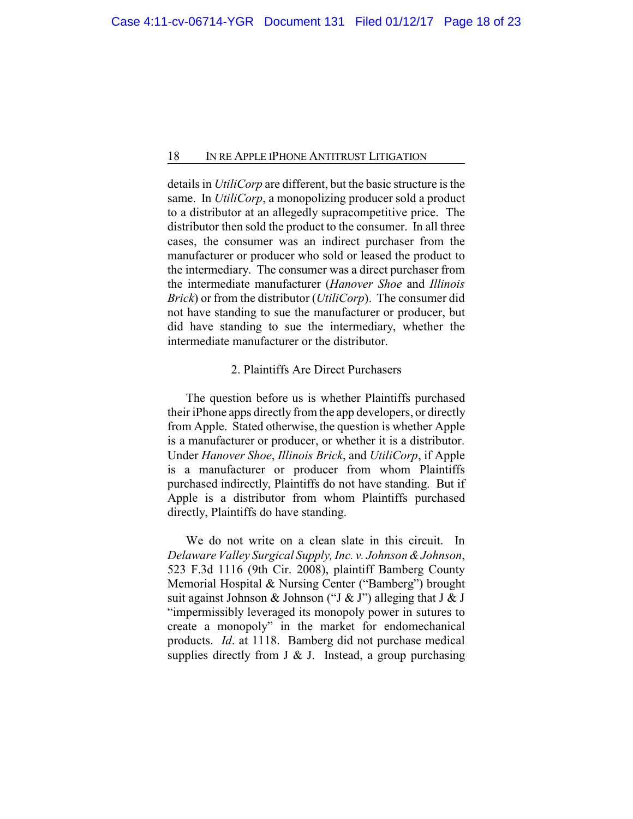details in *UtiliCorp* are different, but the basic structure is the same. In *UtiliCorp*, a monopolizing producer sold a product to a distributor at an allegedly supracompetitive price. The distributor then sold the product to the consumer. In all three cases, the consumer was an indirect purchaser from the manufacturer or producer who sold or leased the product to the intermediary. The consumer was a direct purchaser from the intermediate manufacturer (*Hanover Shoe* and *Illinois Brick*) or from the distributor (*UtiliCorp*). The consumer did not have standing to sue the manufacturer or producer, but did have standing to sue the intermediary, whether the intermediate manufacturer or the distributor.

# 2. Plaintiffs Are Direct Purchasers

The question before us is whether Plaintiffs purchased their iPhone apps directly from the app developers, or directly from Apple. Stated otherwise, the question is whether Apple is a manufacturer or producer, or whether it is a distributor. Under *Hanover Shoe*, *Illinois Brick*, and *UtiliCorp*, if Apple is a manufacturer or producer from whom Plaintiffs purchased indirectly, Plaintiffs do not have standing. But if Apple is a distributor from whom Plaintiffs purchased directly, Plaintiffs do have standing.

We do not write on a clean slate in this circuit. In *Delaware Valley Surgical Supply, Inc. v. Johnson &Johnson*, 523 F.3d 1116 (9th Cir. 2008), plaintiff Bamberg County Memorial Hospital & Nursing Center ("Bamberg") brought suit against Johnson & Johnson ("J & J") alleging that J & J "impermissibly leveraged its monopoly power in sutures to create a monopoly" in the market for endomechanical products. *Id*. at 1118. Bamberg did not purchase medical supplies directly from J  $&$  J. Instead, a group purchasing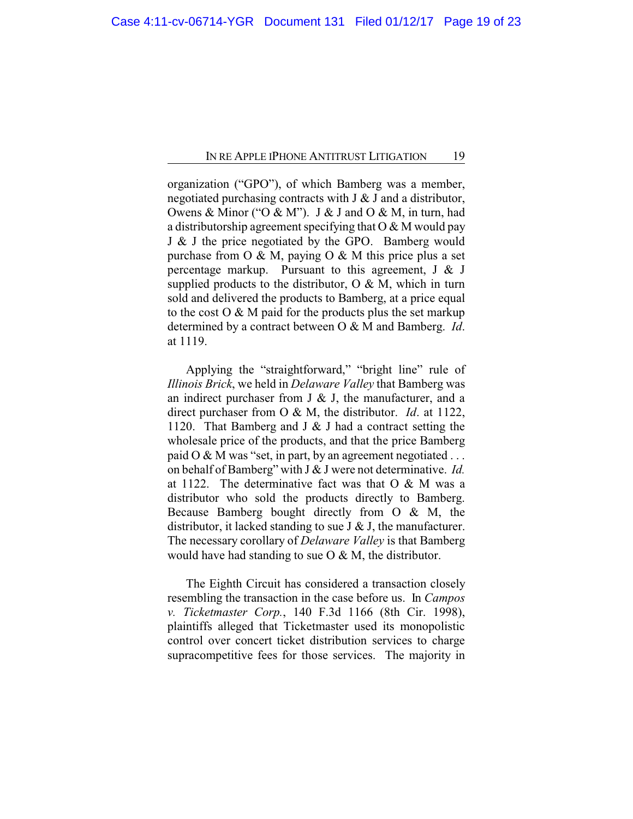organization ("GPO"), of which Bamberg was a member, negotiated purchasing contracts with J & J and a distributor, Owens & Minor ("O & M"). J & J and O & M, in turn, had a distributorship agreement specifying that  $O & M$  would pay J & J the price negotiated by the GPO. Bamberg would purchase from  $O \& M$ , paying  $O \& M$  this price plus a set percentage markup. Pursuant to this agreement,  $J \& J$ supplied products to the distributor,  $O & M$ , which in turn sold and delivered the products to Bamberg, at a price equal to the cost  $O & M$  paid for the products plus the set markup determined by a contract between O & M and Bamberg. *Id*. at 1119.

Applying the "straightforward," "bright line" rule of *Illinois Brick*, we held in *Delaware Valley* that Bamberg was an indirect purchaser from J  $&$  J, the manufacturer, and a direct purchaser from O & M, the distributor. *Id*. at 1122, 1120. That Bamberg and J & J had a contract setting the wholesale price of the products, and that the price Bamberg paid  $O & M$  was "set, in part, by an agreement negotiated ... on behalf of Bamberg" with J & J were not determinative. *Id.* at 1122. The determinative fact was that  $O & M$  was a distributor who sold the products directly to Bamberg. Because Bamberg bought directly from O & M, the distributor, it lacked standing to sue J  $&$  J, the manufacturer. The necessary corollary of *Delaware Valley* is that Bamberg would have had standing to sue O & M, the distributor.

The Eighth Circuit has considered a transaction closely resembling the transaction in the case before us. In *Campos v. Ticketmaster Corp.*, 140 F.3d 1166 (8th Cir. 1998), plaintiffs alleged that Ticketmaster used its monopolistic control over concert ticket distribution services to charge supracompetitive fees for those services. The majority in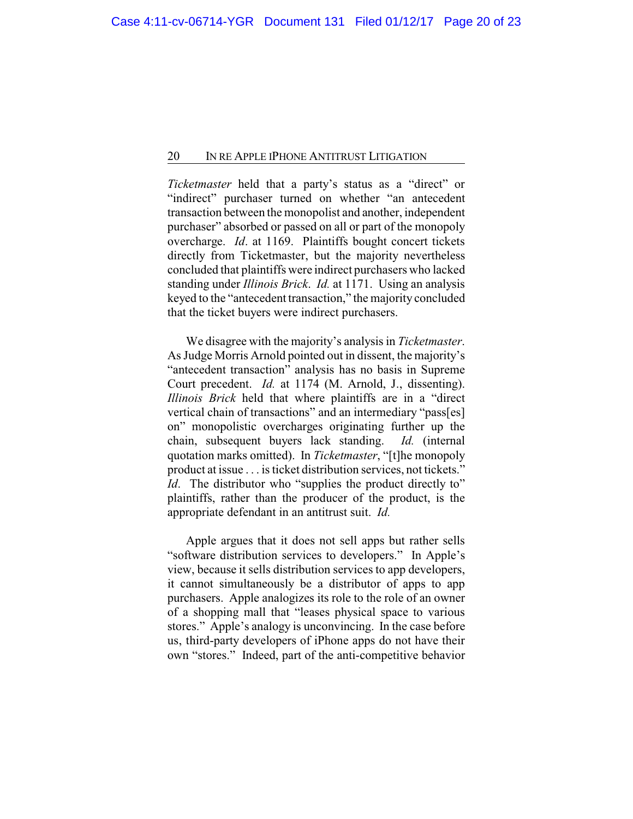*Ticketmaster* held that a party's status as a "direct" or "indirect" purchaser turned on whether "an antecedent transaction between the monopolist and another, independent purchaser" absorbed or passed on all or part of the monopoly overcharge. *Id*. at 1169. Plaintiffs bought concert tickets directly from Ticketmaster, but the majority nevertheless concluded that plaintiffs were indirect purchasers who lacked standing under *Illinois Brick*. *Id.* at 1171. Using an analysis keyed to the "antecedent transaction," the majority concluded that the ticket buyers were indirect purchasers.

We disagree with the majority's analysis in *Ticketmaster*. As Judge Morris Arnold pointed out in dissent, the majority's "antecedent transaction" analysis has no basis in Supreme Court precedent. *Id.* at 1174 (M. Arnold, J., dissenting). *Illinois Brick* held that where plaintiffs are in a "direct vertical chain of transactions" and an intermediary "pass[es] on" monopolistic overcharges originating further up the chain, subsequent buyers lack standing. *Id.* (internal quotation marks omitted). In *Ticketmaster*, "[t]he monopoly product at issue . . . is ticket distribution services, not tickets." *Id.* The distributor who "supplies the product directly to" plaintiffs, rather than the producer of the product, is the appropriate defendant in an antitrust suit. *Id.*

Apple argues that it does not sell apps but rather sells "software distribution services to developers." In Apple's view, because it sells distribution services to app developers, it cannot simultaneously be a distributor of apps to app purchasers. Apple analogizes its role to the role of an owner of a shopping mall that "leases physical space to various stores." Apple's analogy is unconvincing. In the case before us, third-party developers of iPhone apps do not have their own "stores." Indeed, part of the anti-competitive behavior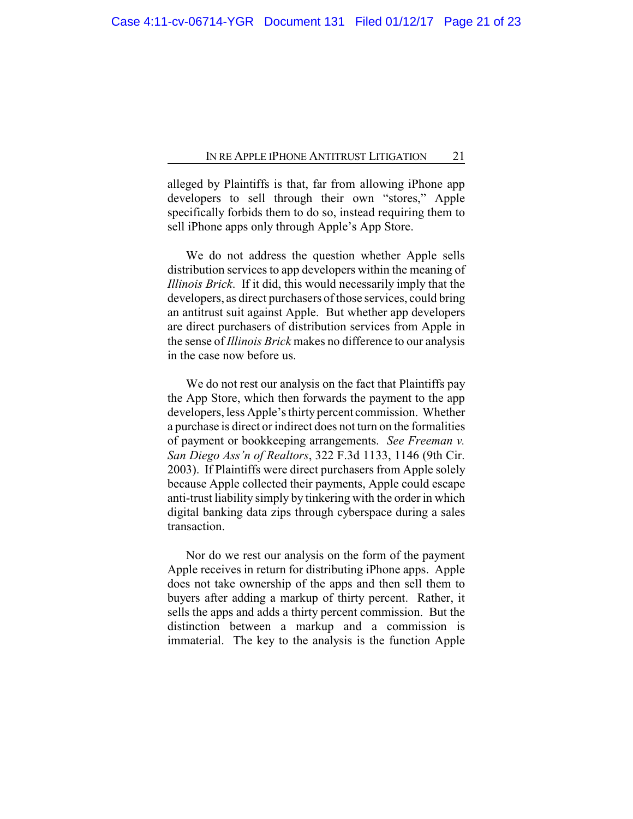alleged by Plaintiffs is that, far from allowing iPhone app developers to sell through their own "stores," Apple specifically forbids them to do so, instead requiring them to sell iPhone apps only through Apple's App Store.

We do not address the question whether Apple sells distribution services to app developers within the meaning of *Illinois Brick*. If it did, this would necessarily imply that the developers, as direct purchasers of those services, could bring an antitrust suit against Apple. But whether app developers are direct purchasers of distribution services from Apple in the sense of *Illinois Brick* makes no difference to our analysis in the case now before us.

We do not rest our analysis on the fact that Plaintiffs pay the App Store, which then forwards the payment to the app developers, less Apple's thirty percent commission. Whether a purchase is direct or indirect does not turn on the formalities of payment or bookkeeping arrangements. *See Freeman v. San Diego Ass'n of Realtors*, 322 F.3d 1133, 1146 (9th Cir. 2003). If Plaintiffs were direct purchasers from Apple solely because Apple collected their payments, Apple could escape anti-trust liability simply by tinkering with the order in which digital banking data zips through cyberspace during a sales transaction.

Nor do we rest our analysis on the form of the payment Apple receives in return for distributing iPhone apps. Apple does not take ownership of the apps and then sell them to buyers after adding a markup of thirty percent. Rather, it sells the apps and adds a thirty percent commission. But the distinction between a markup and a commission is immaterial. The key to the analysis is the function Apple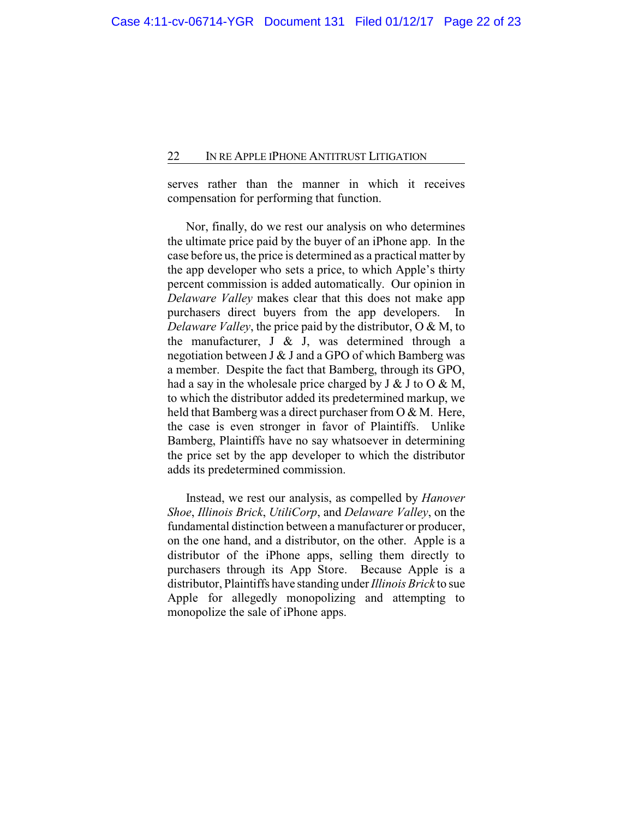serves rather than the manner in which it receives compensation for performing that function.

Nor, finally, do we rest our analysis on who determines the ultimate price paid by the buyer of an iPhone app. In the case before us, the price is determined as a practical matter by the app developer who sets a price, to which Apple's thirty percent commission is added automatically. Our opinion in *Delaware Valley* makes clear that this does not make app purchasers direct buyers from the app developers. In *Delaware Valley*, the price paid by the distributor, O & M, to the manufacturer,  $J \& J$ , was determined through a negotiation between J & J and a GPO of which Bamberg was a member. Despite the fact that Bamberg, through its GPO, had a say in the wholesale price charged by  $J \& J$  to  $O \& M$ , to which the distributor added its predetermined markup, we held that Bamberg was a direct purchaser from O & M. Here, the case is even stronger in favor of Plaintiffs. Unlike Bamberg, Plaintiffs have no say whatsoever in determining the price set by the app developer to which the distributor adds its predetermined commission.

Instead, we rest our analysis, as compelled by *Hanover Shoe*, *Illinois Brick*, *UtiliCorp*, and *Delaware Valley*, on the fundamental distinction between a manufacturer or producer, on the one hand, and a distributor, on the other. Apple is a distributor of the iPhone apps, selling them directly to purchasers through its App Store. Because Apple is a distributor, Plaintiffs have standing under *Illinois Brick* to sue Apple for allegedly monopolizing and attempting to monopolize the sale of iPhone apps.